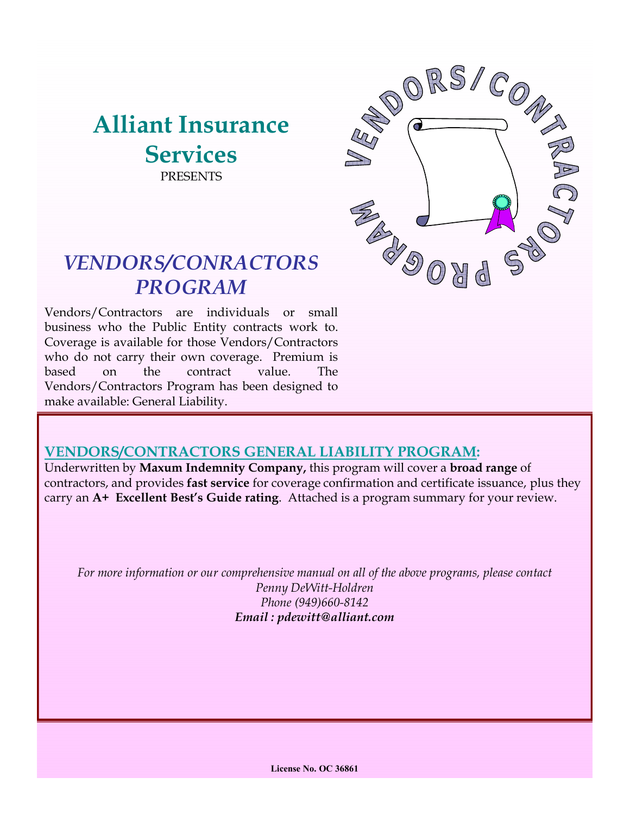# **Alliant Insurance Services PRESENTS**



# *VENDORS/CONRACTORS PROGRAM*

Vendors/Contractors are individuals or small business who the Public Entity contracts work to. Coverage is available for those Vendors/Contractors who do not carry their own coverage. Premium is based on the contract value. The Vendors/Contractors Program has been designed to make available: General Liability.

# **VENDORS/CONTRACTORS GENERAL LIABILITY PROGRAM:**

Underwritten by **Maxum Indemnity Company,** this program will cover a **broad range** of contractors, and provides **fast service** for coverage confirmation and certificate issuance, plus they carry an **A+ Excellent Best's Guide rating**. Attached is a program summary for your review.

*For more information or our comprehensive manual on all of the above programs, please contact Penny DeWitt-Holdren Phone (949)660-8142 Email : pdewitt@alliant.com*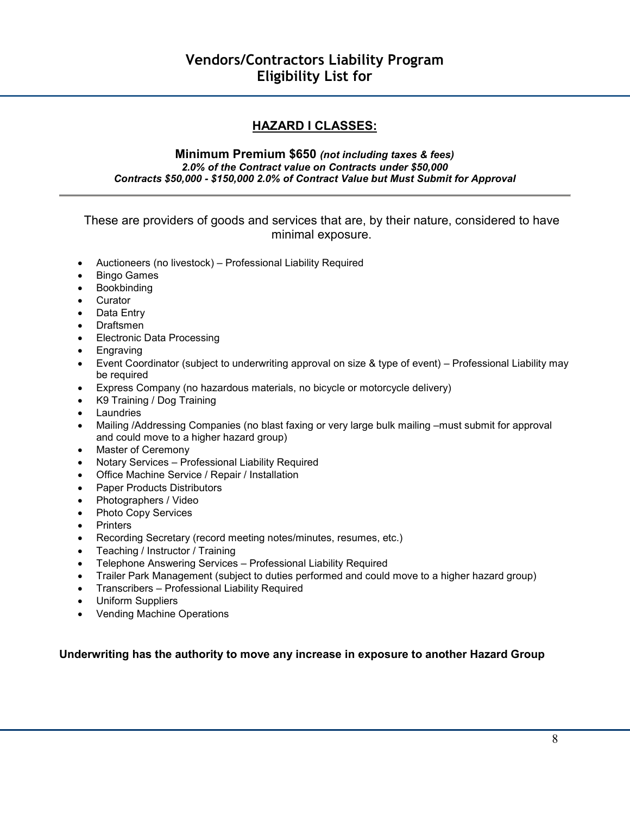## **HAZARD I CLASSES:**

#### **Minimum Premium \$650** *(not including taxes & fees) 2.0% of the Contract value on Contracts under \$50,000 Contracts \$50,000 - \$150,000 2.0% of Contract Value but Must Submit for Approval*

#### These are providers of goods and services that are, by their nature, considered to have minimal exposure.

- Auctioneers (no livestock) Professional Liability Required
- Bingo Games
- Bookbinding
- Curator
- Data Entry
- Draftsmen
- Electronic Data Processing
- Engraving
- Event Coordinator (subject to underwriting approval on size & type of event) Professional Liability may be required
- Express Company (no hazardous materials, no bicycle or motorcycle delivery)
- K9 Training / Dog Training
- **Laundries**
- Mailing /Addressing Companies (no blast faxing or very large bulk mailing –must submit for approval and could move to a higher hazard group)
- Master of Ceremony
- Notary Services Professional Liability Required
- Office Machine Service / Repair / Installation
- Paper Products Distributors
- Photographers / Video
- Photo Copy Services
- Printers
- Recording Secretary (record meeting notes/minutes, resumes, etc.)
- Teaching / Instructor / Training
- Telephone Answering Services Professional Liability Required
- Trailer Park Management (subject to duties performed and could move to a higher hazard group)
- Transcribers Professional Liability Required
- Uniform Suppliers
- Vending Machine Operations

#### **Underwriting has the authority to move any increase in exposure to another Hazard Group**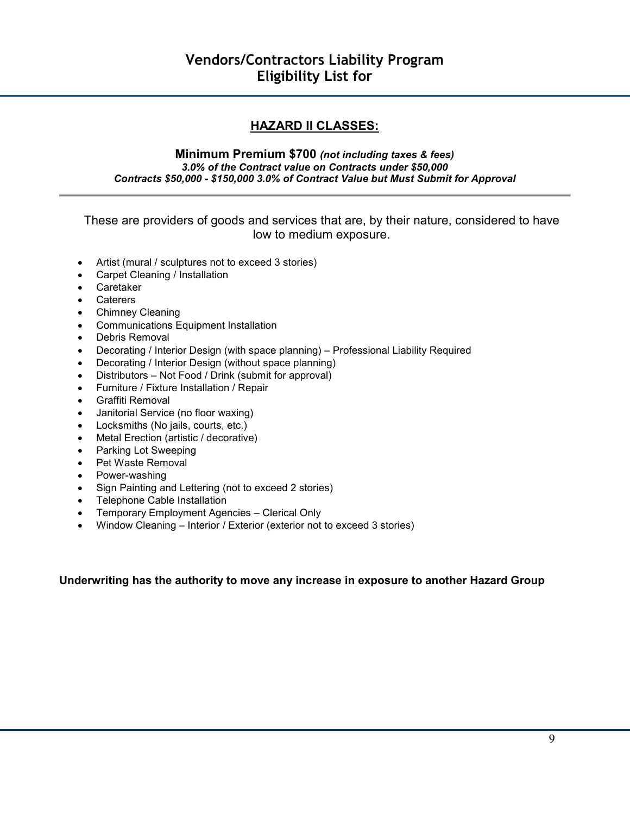## **HAZARD II CLASSES:**

#### **Minimum Premium \$700** *(not including taxes & fees) 3.0% of the Contract value on Contracts under \$50,000 Contracts \$50,000 - \$150,000 3.0% of Contract Value but Must Submit for Approval*

These are providers of goods and services that are, by their nature, considered to have low to medium exposure.

- Artist (mural / sculptures not to exceed 3 stories)
- Carpet Cleaning / Installation
- Caretaker
- Caterers
- Chimney Cleaning
- Communications Equipment Installation
- Debris Removal
- Decorating / Interior Design (with space planning) Professional Liability Required
- Decorating / Interior Design (without space planning)
- Distributors Not Food / Drink (submit for approval)
- Furniture / Fixture Installation / Repair
- Graffiti Removal
- Janitorial Service (no floor waxing)
- Locksmiths (No jails, courts, etc.)
- Metal Erection (artistic / decorative)
- Parking Lot Sweeping
- Pet Waste Removal
- Power-washing
- Sign Painting and Lettering (not to exceed 2 stories)
- Telephone Cable Installation
- Temporary Employment Agencies Clerical Only
- Window Cleaning Interior / Exterior (exterior not to exceed 3 stories)

#### **Underwriting has the authority to move any increase in exposure to another Hazard Group**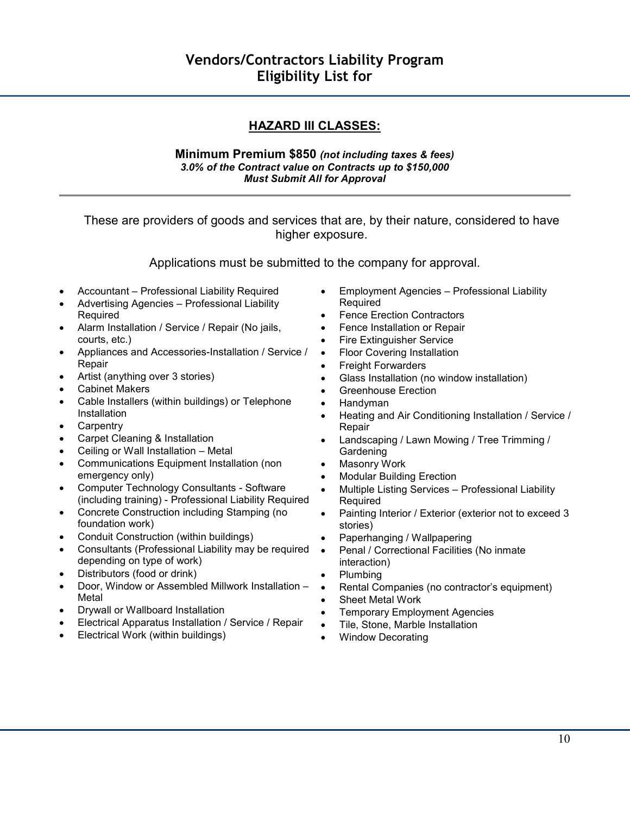## **HAZARD III CLASSES:**

#### **Minimum Premium \$850** *(not including taxes & fees) 3.0% of the Contract value on Contracts up to \$150,000 Must Submit All for Approval*

These are providers of goods and services that are, by their nature, considered to have higher exposure.

Applications must be submitted to the company for approval.

- Accountant Professional Liability Required
- Advertising Agencies Professional Liability Required
- Alarm Installation / Service / Repair (No jails, courts, etc.)
- Appliances and Accessories-Installation / Service / Repair
- Artist (anything over 3 stories)
- Cabinet Makers
- Cable Installers (within buildings) or Telephone **Installation**
- **Carpentry**
- Carpet Cleaning & Installation
- Ceiling or Wall Installation Metal
- Communications Equipment Installation (non emergency only)
- Computer Technology Consultants Software (including training) - Professional Liability Required
- Concrete Construction including Stamping (no foundation work)
- Conduit Construction (within buildings)
- Consultants (Professional Liability may be required depending on type of work)
- Distributors (food or drink)
- Door, Window or Assembled Millwork Installation Metal
- Drywall or Wallboard Installation
- Electrical Apparatus Installation / Service / Repair
- Electrical Work (within buildings)
- Employment Agencies Professional Liability Required
- Fence Erection Contractors
- Fence Installation or Repair
- Fire Extinguisher Service
- Floor Covering Installation
- Freight Forwarders
- Glass Installation (no window installation)
- Greenhouse Erection
- Handyman
- Heating and Air Conditioning Installation / Service / Repair
- Landscaping / Lawn Mowing / Tree Trimming / **Gardening**
- Masonry Work
- Modular Building Erection
- Multiple Listing Services Professional Liability Required
- Painting Interior / Exterior (exterior not to exceed 3 stories)
- Paperhanging / Wallpapering
- Penal / Correctional Facilities (No inmate interaction)
- Plumbing
- Rental Companies (no contractor's equipment)
- Sheet Metal Work
- **Temporary Employment Agencies**
- Tile, Stone, Marble Installation
- Window Decorating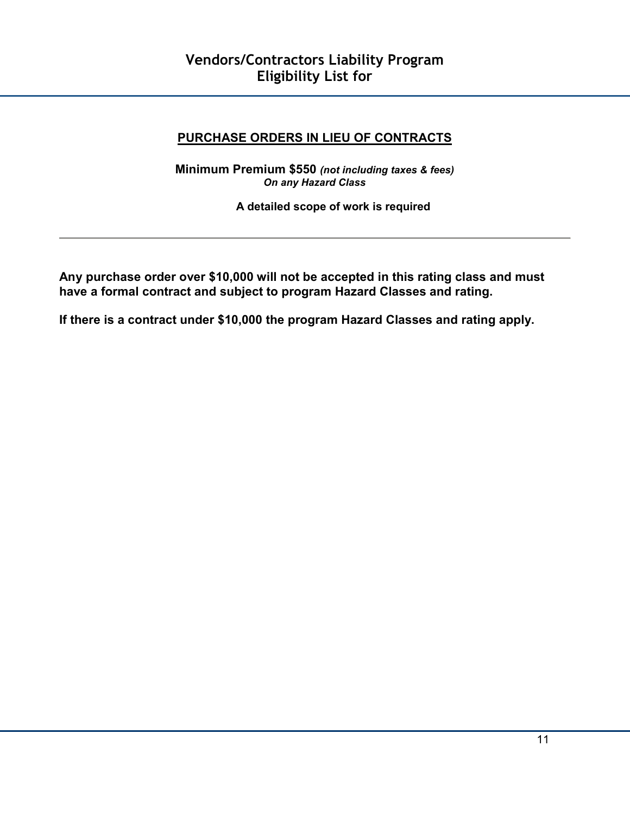## **PURCHASE ORDERS IN LIEU OF CONTRACTS**

**Minimum Premium \$550** *(not including taxes & fees) On any Hazard Class* 

**A detailed scope of work is required** 

**Any purchase order over \$10,000 will not be accepted in this rating class and must have a formal contract and subject to program Hazard Classes and rating.** 

**If there is a contract under \$10,000 the program Hazard Classes and rating apply.**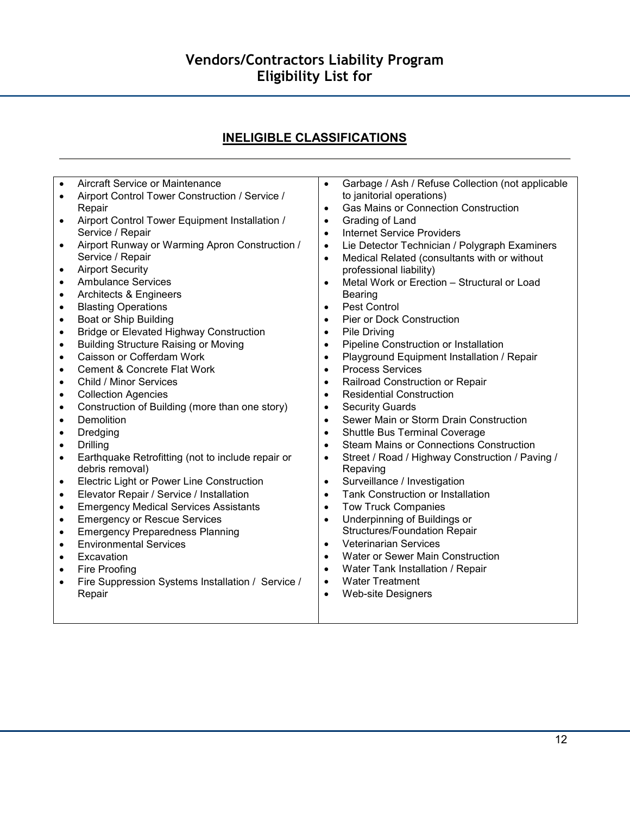# **Vendors/Contractors Liability Program Eligibility List for**

# **INELIGIBLE CLASSIFICATIONS**

| $\bullet$ | Aircraft Service or Maintenance                                    | $\bullet$              | Garbage / Ash / Refuse Collection (not applicable                        |
|-----------|--------------------------------------------------------------------|------------------------|--------------------------------------------------------------------------|
| $\bullet$ | Airport Control Tower Construction / Service /                     |                        | to janitorial operations)<br><b>Gas Mains or Connection Construction</b> |
|           | Repair                                                             | $\bullet$<br>$\bullet$ | Grading of Land                                                          |
| $\bullet$ | Airport Control Tower Equipment Installation /<br>Service / Repair | $\bullet$              | <b>Internet Service Providers</b>                                        |
| $\bullet$ | Airport Runway or Warming Apron Construction /                     | $\bullet$              | Lie Detector Technician / Polygraph Examiners                            |
|           | Service / Repair                                                   | $\bullet$              | Medical Related (consultants with or without                             |
| $\bullet$ | <b>Airport Security</b>                                            |                        | professional liability)                                                  |
| $\bullet$ | <b>Ambulance Services</b>                                          | $\bullet$              | Metal Work or Erection - Structural or Load                              |
| $\bullet$ | Architects & Engineers                                             |                        | <b>Bearing</b>                                                           |
| $\bullet$ | <b>Blasting Operations</b>                                         | $\bullet$              | Pest Control                                                             |
| $\bullet$ | Boat or Ship Building                                              | $\bullet$              | Pier or Dock Construction                                                |
| $\bullet$ | <b>Bridge or Elevated Highway Construction</b>                     | $\bullet$              | Pile Driving                                                             |
| $\bullet$ | <b>Building Structure Raising or Moving</b>                        | $\bullet$              | Pipeline Construction or Installation                                    |
| $\bullet$ | Caisson or Cofferdam Work                                          | $\bullet$              | Playground Equipment Installation / Repair                               |
| ٠         | <b>Cement &amp; Concrete Flat Work</b>                             | $\bullet$              | <b>Process Services</b>                                                  |
| $\bullet$ | Child / Minor Services                                             | $\bullet$              | Railroad Construction or Repair                                          |
| $\bullet$ | <b>Collection Agencies</b>                                         | $\bullet$              | <b>Residential Construction</b>                                          |
| $\bullet$ | Construction of Building (more than one story)                     | $\bullet$              | <b>Security Guards</b>                                                   |
| $\bullet$ | <b>Demolition</b>                                                  | $\bullet$              | Sewer Main or Storm Drain Construction                                   |
| $\bullet$ | Dredging                                                           | $\bullet$              | Shuttle Bus Terminal Coverage                                            |
| $\bullet$ | <b>Drilling</b>                                                    | $\bullet$              | <b>Steam Mains or Connections Construction</b>                           |
| $\bullet$ | Earthquake Retrofitting (not to include repair or                  | $\bullet$              | Street / Road / Highway Construction / Paving /                          |
|           | debris removal)                                                    |                        | Repaving                                                                 |
| $\bullet$ | Electric Light or Power Line Construction                          | $\bullet$              | Surveillance / Investigation                                             |
| $\bullet$ | Elevator Repair / Service / Installation                           | $\bullet$              | Tank Construction or Installation                                        |
| $\bullet$ | <b>Emergency Medical Services Assistants</b>                       | $\bullet$              | <b>Tow Truck Companies</b>                                               |
| $\bullet$ | <b>Emergency or Rescue Services</b>                                | $\bullet$              | Underpinning of Buildings or                                             |
| $\bullet$ | <b>Emergency Preparedness Planning</b>                             |                        | <b>Structures/Foundation Repair</b>                                      |
| $\bullet$ | <b>Environmental Services</b>                                      | $\bullet$              | <b>Veterinarian Services</b>                                             |
| $\bullet$ | Excavation                                                         | $\bullet$              | Water or Sewer Main Construction                                         |
| $\bullet$ | Fire Proofing                                                      | $\bullet$              | Water Tank Installation / Repair                                         |
| $\bullet$ | Fire Suppression Systems Installation / Service /                  | $\bullet$              | <b>Water Treatment</b>                                                   |
|           | Repair                                                             | $\bullet$              | <b>Web-site Designers</b>                                                |
|           |                                                                    |                        |                                                                          |
|           |                                                                    |                        |                                                                          |